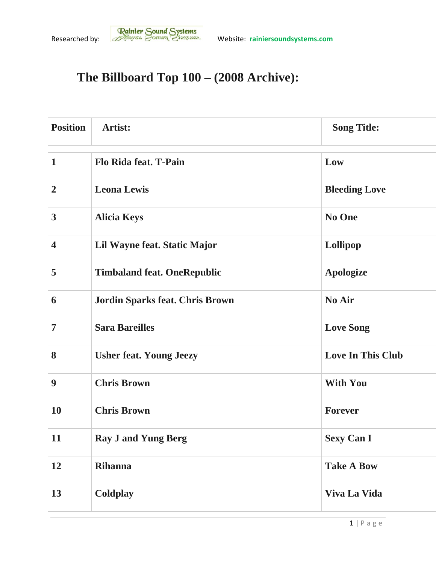## **The Billboard Top 100 – (2008 Archive):**

| <b>Position</b>         | Artist:                                | <b>Song Title:</b>       |
|-------------------------|----------------------------------------|--------------------------|
| $\mathbf{1}$            | Flo Rida feat. T-Pain                  | Low                      |
| $\overline{2}$          | <b>Leona Lewis</b>                     | <b>Bleeding Love</b>     |
| 3                       | <b>Alicia Keys</b>                     | No One                   |
| $\overline{\mathbf{4}}$ | Lil Wayne feat. Static Major           | Lollipop                 |
| 5                       | <b>Timbaland feat. OneRepublic</b>     | <b>Apologize</b>         |
| 6                       | <b>Jordin Sparks feat. Chris Brown</b> | No Air                   |
| $\overline{7}$          | <b>Sara Bareilles</b>                  | <b>Love Song</b>         |
| 8                       | <b>Usher feat. Young Jeezy</b>         | <b>Love In This Club</b> |
| 9                       | <b>Chris Brown</b>                     | <b>With You</b>          |
| 10                      | <b>Chris Brown</b>                     | <b>Forever</b>           |
| 11                      | <b>Ray J and Yung Berg</b>             | <b>Sexy Can I</b>        |
| 12                      | <b>Rihanna</b>                         | <b>Take A Bow</b>        |
| 13                      | Coldplay                               | Viva La Vida             |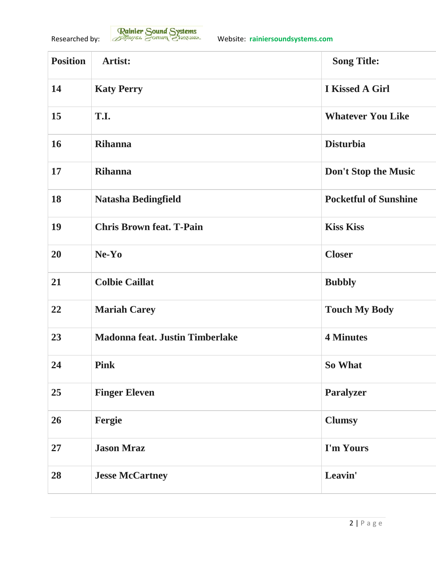| <b>Position</b> | Artist:                                | <b>Song Title:</b>           |
|-----------------|----------------------------------------|------------------------------|
| 14              | <b>Katy Perry</b>                      | <b>I Kissed A Girl</b>       |
| 15              | T.I.                                   | <b>Whatever You Like</b>     |
| 16              | <b>Rihanna</b>                         | <b>Disturbia</b>             |
| 17              | <b>Rihanna</b>                         | Don't Stop the Music         |
| 18              | <b>Natasha Bedingfield</b>             | <b>Pocketful of Sunshine</b> |
| 19              | <b>Chris Brown feat. T-Pain</b>        | <b>Kiss Kiss</b>             |
| 20              | $Ne-Yo$                                | <b>Closer</b>                |
| 21              | <b>Colbie Caillat</b>                  | <b>Bubbly</b>                |
| 22              | <b>Mariah Carey</b>                    | <b>Touch My Body</b>         |
| 23              | <b>Madonna feat. Justin Timberlake</b> | <b>4 Minutes</b>             |
| 24              | <b>Pink</b>                            | So What                      |
| 25              | <b>Finger Eleven</b>                   | <b>Paralyzer</b>             |
| 26              | Fergie                                 | <b>Clumsy</b>                |
| 27              | <b>Jason Mraz</b>                      | I'm Yours                    |
| 28              | <b>Jesse McCartney</b>                 | Leavin'                      |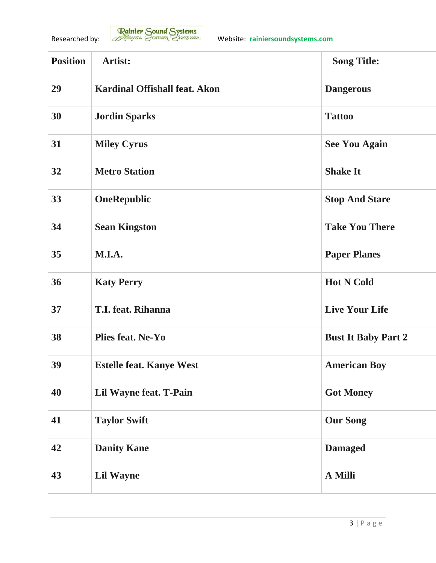| <b>Position</b> | Artist:                              | <b>Song Title:</b>         |
|-----------------|--------------------------------------|----------------------------|
| 29              | <b>Kardinal Offishall feat. Akon</b> | <b>Dangerous</b>           |
| 30              | <b>Jordin Sparks</b>                 | <b>Tattoo</b>              |
| 31              | <b>Miley Cyrus</b>                   | <b>See You Again</b>       |
| 32              | <b>Metro Station</b>                 | <b>Shake It</b>            |
| 33              | <b>OneRepublic</b>                   | <b>Stop And Stare</b>      |
| 34              | <b>Sean Kingston</b>                 | <b>Take You There</b>      |
| 35              | M.I.A.                               | <b>Paper Planes</b>        |
| 36              | <b>Katy Perry</b>                    | <b>Hot N Cold</b>          |
| 37              | <b>T.I. feat. Rihanna</b>            | <b>Live Your Life</b>      |
| 38              | <b>Plies feat. Ne-Yo</b>             | <b>Bust It Baby Part 2</b> |
| 39              | <b>Estelle feat. Kanye West</b>      | <b>American Boy</b>        |
| 40              | Lil Wayne feat. T-Pain               | <b>Got Money</b>           |
| 41              | <b>Taylor Swift</b>                  | <b>Our Song</b>            |
| 42              | <b>Danity Kane</b>                   | <b>Damaged</b>             |
| 43              | <b>Lil Wayne</b>                     | A Milli                    |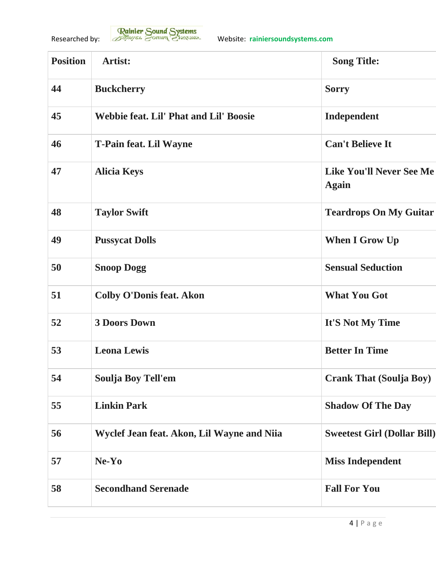| <b>Position</b> | Artist:                                       | <b>Song Title:</b>                              |
|-----------------|-----------------------------------------------|-------------------------------------------------|
| 44              | <b>Buckcherry</b>                             | <b>Sorry</b>                                    |
| 45              | <b>Webbie feat. Lil' Phat and Lil' Boosie</b> | Independent                                     |
| 46              | <b>T-Pain feat. Lil Wayne</b>                 | <b>Can't Believe It</b>                         |
| 47              | <b>Alicia Keys</b>                            | <b>Like You'll Never See Me</b><br><b>Again</b> |
| 48              | <b>Taylor Swift</b>                           | <b>Teardrops On My Guitar</b>                   |
| 49              | <b>Pussycat Dolls</b>                         | <b>When I Grow Up</b>                           |
| 50              | <b>Snoop Dogg</b>                             | <b>Sensual Seduction</b>                        |
| 51              | <b>Colby O'Donis feat. Akon</b>               | <b>What You Got</b>                             |
| 52              | <b>3 Doors Down</b>                           | It'S Not My Time                                |
| 53              | <b>Leona Lewis</b>                            | <b>Better In Time</b>                           |
| 54              | <b>Soulja Boy Tell'em</b>                     | <b>Crank That (Soulja Boy)</b>                  |
| 55              | <b>Linkin Park</b>                            | <b>Shadow Of The Day</b>                        |
| 56              | Wyclef Jean feat. Akon, Lil Wayne and Niia    | <b>Sweetest Girl (Dollar Bill)</b>              |
| 57              | Ne-Yo                                         | <b>Miss Independent</b>                         |
| 58              | <b>Secondhand Serenade</b>                    | <b>Fall For You</b>                             |
|                 |                                               |                                                 |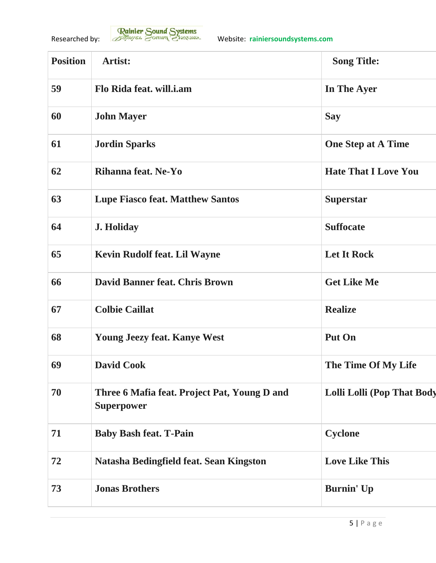| <b>Position</b> | Artist:                                                           | <b>Song Title:</b>                |
|-----------------|-------------------------------------------------------------------|-----------------------------------|
| 59              | Flo Rida feat. will.i.am                                          | In The Ayer                       |
| 60              | <b>John Mayer</b>                                                 | <b>Say</b>                        |
| 61              | <b>Jordin Sparks</b>                                              | <b>One Step at A Time</b>         |
| 62              | Rihanna feat. Ne-Yo                                               | <b>Hate That I Love You</b>       |
| 63              | <b>Lupe Fiasco feat. Matthew Santos</b>                           | <b>Superstar</b>                  |
| 64              | <b>J. Holiday</b>                                                 | <b>Suffocate</b>                  |
| 65              | <b>Kevin Rudolf feat. Lil Wayne</b>                               | <b>Let It Rock</b>                |
| 66              | <b>David Banner feat. Chris Brown</b>                             | <b>Get Like Me</b>                |
| 67              | <b>Colbie Caillat</b>                                             | <b>Realize</b>                    |
| 68              | <b>Young Jeezy feat. Kanye West</b>                               | Put On                            |
| 69              | <b>David Cook</b>                                                 | The Time Of My Life               |
| 70              | Three 6 Mafia feat. Project Pat, Young D and<br><b>Superpower</b> | <b>Lolli Lolli (Pop That Body</b> |
| 71              | <b>Baby Bash feat. T-Pain</b>                                     | <b>Cyclone</b>                    |
| 72              | Natasha Bedingfield feat. Sean Kingston                           | <b>Love Like This</b>             |
| 73              | <b>Jonas Brothers</b>                                             | <b>Burnin'</b> Up                 |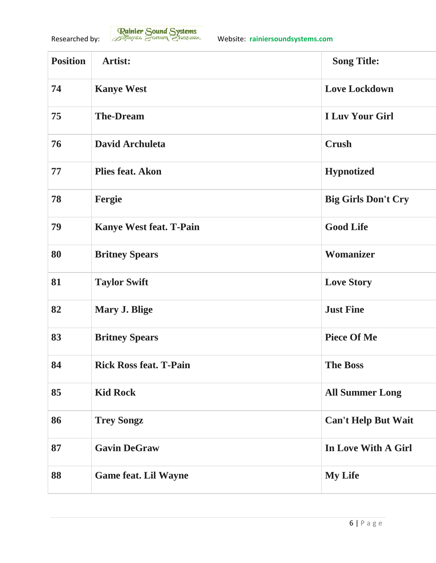| <b>Position</b> | Artist:                        | <b>Song Title:</b>         |
|-----------------|--------------------------------|----------------------------|
| 74              | <b>Kanye West</b>              | <b>Love Lockdown</b>       |
| 75              | <b>The-Dream</b>               | <b>I Luv Your Girl</b>     |
| 76              | David Archuleta                | <b>Crush</b>               |
| 77              | <b>Plies feat. Akon</b>        | <b>Hypnotized</b>          |
| 78              | Fergie                         | <b>Big Girls Don't Cry</b> |
| 79              | <b>Kanye West feat. T-Pain</b> | <b>Good Life</b>           |
| 80              | <b>Britney Spears</b>          | Womanizer                  |
| 81              | <b>Taylor Swift</b>            | <b>Love Story</b>          |
| 82              | Mary J. Blige                  | <b>Just Fine</b>           |
| 83              | <b>Britney Spears</b>          | <b>Piece Of Me</b>         |
| 84              | <b>Rick Ross feat. T-Pain</b>  | <b>The Boss</b>            |
| 85              | <b>Kid Rock</b>                | <b>All Summer Long</b>     |
| 86              | <b>Trey Songz</b>              | <b>Can't Help But Wait</b> |
| 87              | <b>Gavin DeGraw</b>            | In Love With A Girl        |
| 88              | <b>Game feat. Lil Wayne</b>    | <b>My Life</b>             |